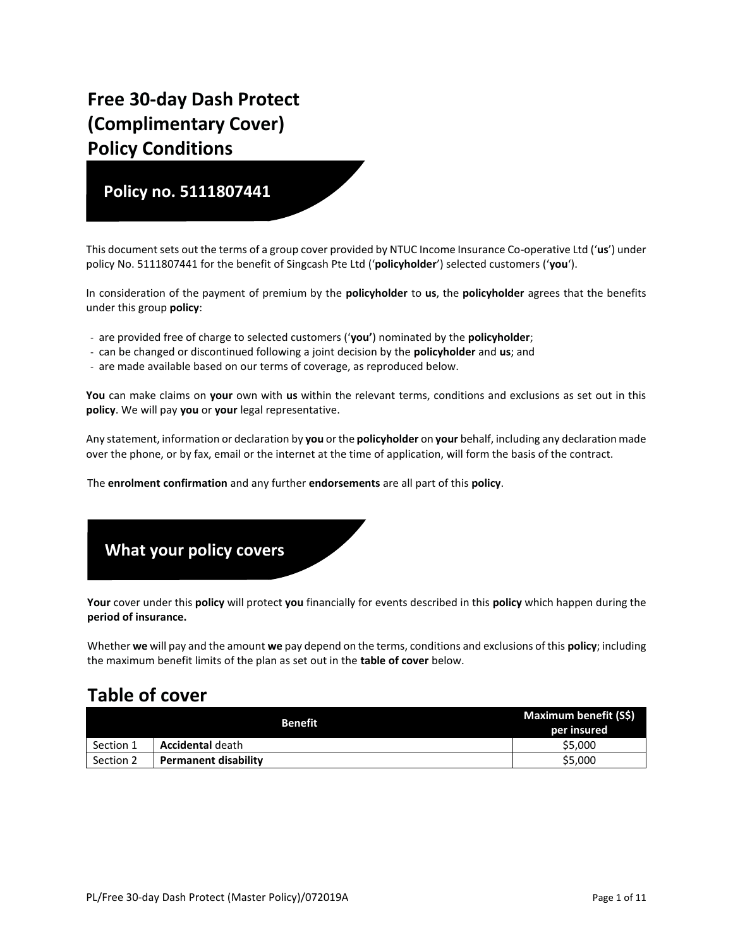# **Free 30-day Dash Protect (Complimentary Cover) Policy Conditions**

### **Policy no. 5111807441**

This document sets out the terms of a group cover provided by NTUC Income Insurance Co-operative Ltd ('**us**') under policy No. 5111807441 for the benefit of Singcash Pte Ltd ('**policyholder**') selected customers ('**you**').

In consideration of the payment of premium by the **policyholder** to **us**, the **policyholder** agrees that the benefits under this group **policy**:

- are provided free of charge to selected customers ('**you'**) nominated by the **policyholder**;
- can be changed or discontinued following a joint decision by the **policyholder** and **us**; and
- are made available based on our terms of coverage, as reproduced below.

**You** can make claims on **your** own with **us** within the relevant terms, conditions and exclusions as set out in this **policy**. We will pay **you** or **your** legal representative.

Any statement, information or declaration by **you** or the **policyholder** on **your** behalf, including any declaration made over the phone, or by fax, email or the internet at the time of application, will form the basis of the contract.

The **enrolment confirmation** and any further **endorsements** are all part of this **policy**.

## **What your policy covers**

**Your** cover under this **policy** will protect **you** financially for events described in this **policy** which happen during the **period of insurance.**

Whether **we** will pay and the amount **we** pay depend on the terms, conditions and exclusions of this **policy**; including the maximum benefit limits of the plan as set out in the **table of cover** below.

## **Table of cover**

|           | <b>Benefit</b>              | Maximum benefit (S\$) |
|-----------|-----------------------------|-----------------------|
|           |                             | per insured           |
| Section 1 | <b>Accidental</b> death     | \$5,000               |
| Section 2 | <b>Permanent disability</b> | \$5,000               |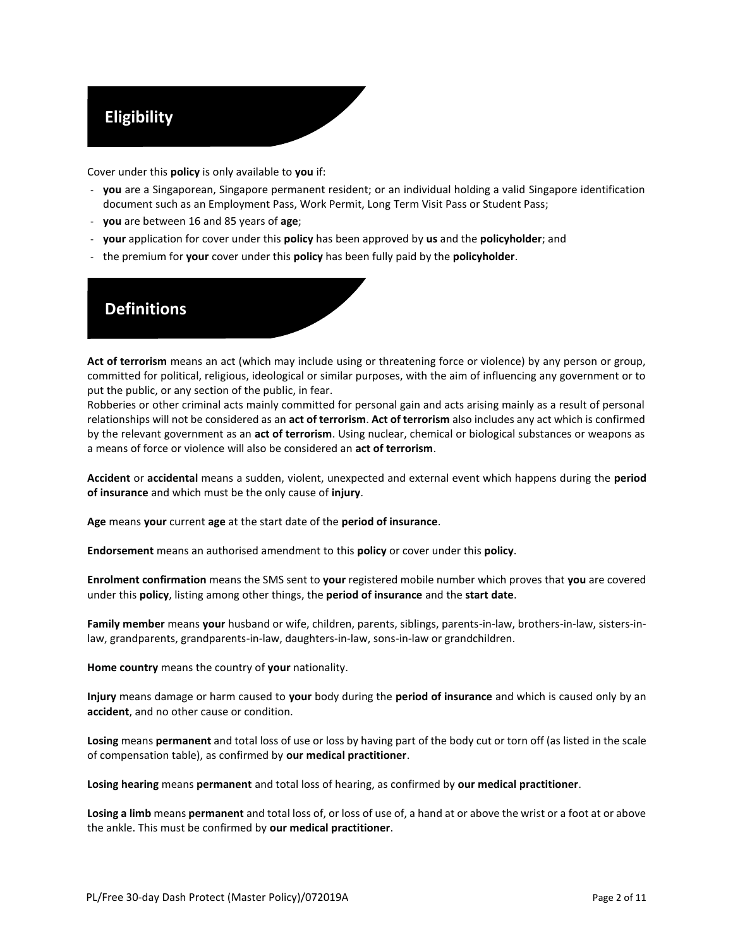## **Eligibility**

Cover under this **policy** is only available to **you** if:

- **you** are a Singaporean, Singapore permanent resident; or an individual holding a valid Singapore identification document such as an Employment Pass, Work Permit, Long Term Visit Pass or Student Pass;
- **you** are between 16 and 85 years of **age**;
- **your** application for cover under this **policy** has been approved by **us** and the **policyholder**; and
- the premium for **your** cover under this **policy** has been fully paid by the **policyholder**.

### **Definitions**

**Act of terrorism** means an act (which may include using or threatening force or violence) by any person or group, committed for political, religious, ideological or similar purposes, with the aim of influencing any government or to put the public, or any section of the public, in fear.

Robberies or other criminal acts mainly committed for personal gain and acts arising mainly as a result of personal relationships will not be considered as an **act of terrorism**. **Act of terrorism** also includes any act which is confirmed by the relevant government as an **act of terrorism**. Using nuclear, chemical or biological substances or weapons as a means of force or violence will also be considered an **act of terrorism**.

**Accident** or **accidental** means a sudden, violent, unexpected and external event which happens during the **period of insurance** and which must be the only cause of **injury**.

**Age** means **your** current **age** at the start date of the **period of insurance**.

**Endorsement** means an authorised amendment to this **policy** or cover under this **policy**.

**Enrolment confirmation** means the SMS sent to **your** registered mobile number which proves that **you** are covered under this **policy**, listing among other things, the **period of insurance** and the **start date**.

**Family member** means **your** husband or wife, children, parents, siblings, parents-in-law, brothers-in-law, sisters-inlaw, grandparents, grandparents-in-law, daughters-in-law, sons-in-law or grandchildren.

**Home country** means the country of **your** nationality.

**Injury** means damage or harm caused to **your** body during the **period of insurance** and which is caused only by an **accident**, and no other cause or condition.

**Losing** means **permanent** and total loss of use or loss by having part of the body cut or torn off (as listed in the scale of compensation table), as confirmed by **our medical practitioner**.

**Losing hearing** means **permanent** and total loss of hearing, as confirmed by **our medical practitioner**.

**Losing a limb** means **permanent** and total loss of, or loss of use of, a hand at or above the wrist or a foot at or above the ankle. This must be confirmed by **our medical practitioner**.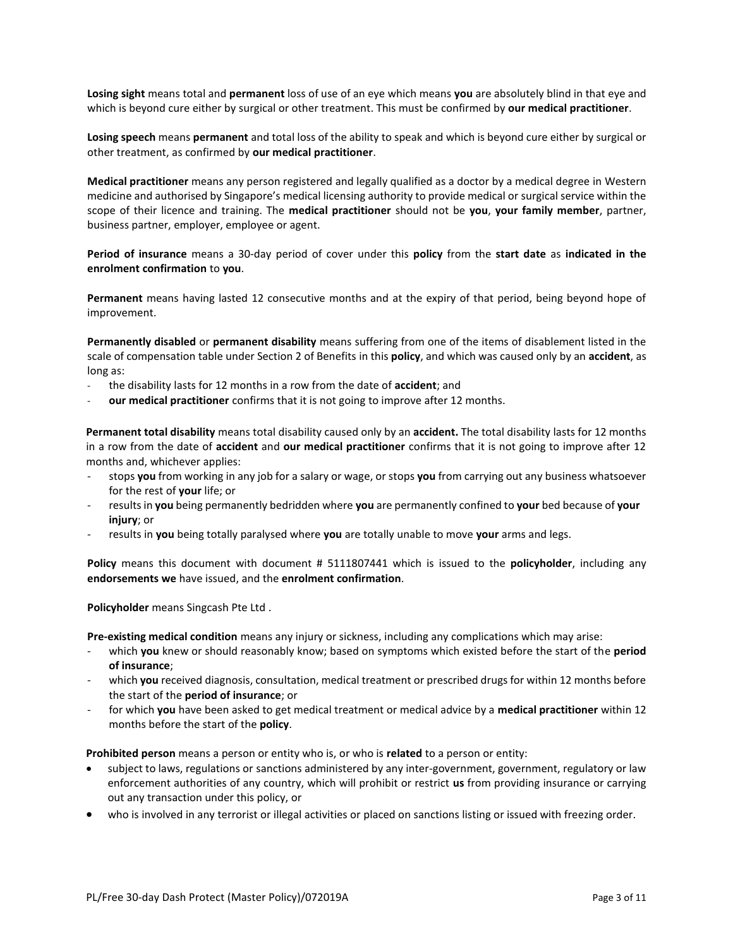**Losing sight** means total and **permanent** loss of use of an eye which means **you** are absolutely blind in that eye and which is beyond cure either by surgical or other treatment. This must be confirmed by **our medical practitioner**.

**Losing speech** means **permanent** and total loss of the ability to speak and which is beyond cure either by surgical or other treatment, as confirmed by **our medical practitioner**.

**Medical practitioner** means any person registered and legally qualified as a doctor by a medical degree in Western medicine and authorised by Singapore's medical licensing authority to provide medical or surgical service within the scope of their licence and training. The **medical practitioner** should not be **you**, **your family member**, partner, business partner, employer, employee or agent.

**Period of insurance** means a 30-day period of cover under this **policy** from the **start date** as **indicated in the enrolment confirmation** to **you**.

**Permanent** means having lasted 12 consecutive months and at the expiry of that period, being beyond hope of improvement.

**Permanently disabled** or **permanent disability** means suffering from one of the items of disablement listed in the scale of compensation table under Section 2 of Benefits in this **policy**, and which was caused only by an **accident**, as long as:

- the disability lasts for 12 months in a row from the date of **accident**; and
- **our medical practitioner** confirms that it is not going to improve after 12 months.

**Permanent total disability** means total disability caused only by an **accident.** The total disability lasts for 12 months in a row from the date of **accident** and **our medical practitioner** confirms that it is not going to improve after 12 months and, whichever applies:

- stops **you** from working in any job for a salary or wage, or stops **you** from carrying out any business whatsoever for the rest of **your** life; or
- results in **you** being permanently bedridden where **you** are permanently confined to **your** bed because of **your injury**; or
- results in **you** being totally paralysed where **you** are totally unable to move **your** arms and legs.

**Policy** means this document with document # 5111807441 which is issued to the **policyholder**, including any **endorsements we** have issued, and the **enrolment confirmation**.

**Policyholder** means Singcash Pte Ltd .

**Pre-existing medical condition** means any injury or sickness, including any complications which may arise:

- which **you** knew or should reasonably know; based on symptoms which existed before the start of the **period of insurance**;
- which **you** received diagnosis, consultation, medical treatment or prescribed drugs for within 12 months before the start of the **period of insurance**; or
- for which **you** have been asked to get medical treatment or medical advice by a **medical practitioner** within 12 months before the start of the **policy**.

**Prohibited person** means a person or entity who is, or who is **related** to a person or entity:

- subject to laws, regulations or sanctions administered by any inter-government, government, regulatory or law enforcement authorities of any country, which will prohibit or restrict **us** from providing insurance or carrying out any transaction under this policy, or
- who is involved in any terrorist or illegal activities or placed on sanctions listing or issued with freezing order.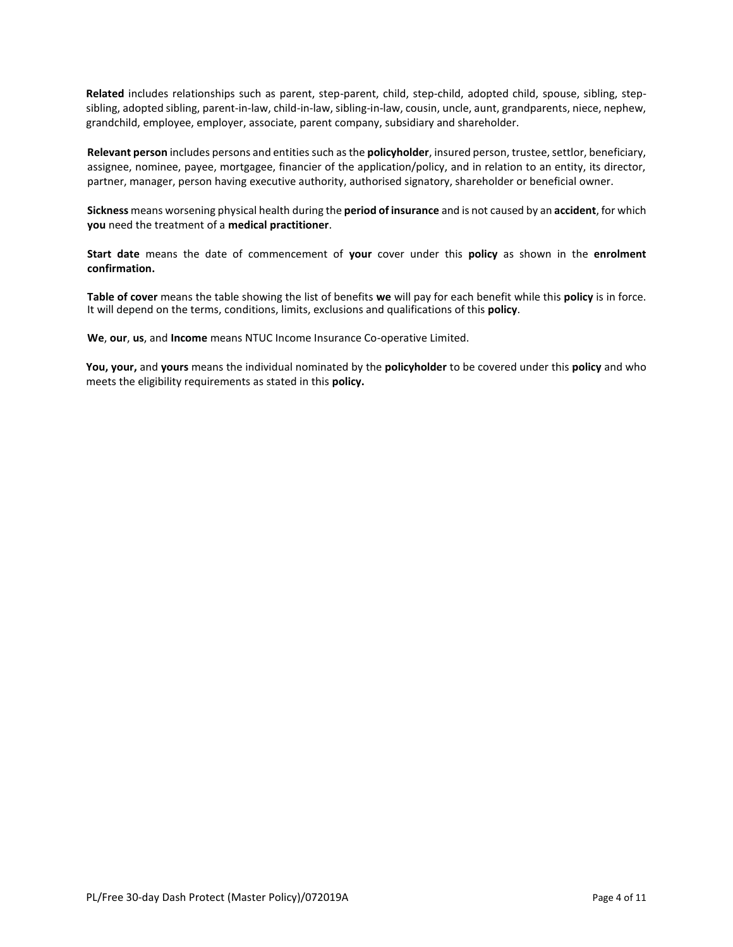**Related** includes relationships such as parent, step-parent, child, step-child, adopted child, spouse, sibling, stepsibling, adopted sibling, parent-in-law, child-in-law, sibling-in-law, cousin, uncle, aunt, grandparents, niece, nephew, grandchild, employee, employer, associate, parent company, subsidiary and shareholder.

**Relevant person** includes persons and entities such as the **policyholder**, insured person, trustee, settlor, beneficiary, assignee, nominee, payee, mortgagee, financier of the application/policy, and in relation to an entity, its director, partner, manager, person having executive authority, authorised signatory, shareholder or beneficial owner.

**Sickness** means worsening physical health during the **period of insurance** and is not caused by an **accident**, for which **you** need the treatment of a **medical practitioner**.

**Start date** means the date of commencement of **your** cover under this **policy** as shown in the **enrolment confirmation.**

**Table of cover** means the table showing the list of benefits **we** will pay for each benefit while this **policy** is in force. It will depend on the terms, conditions, limits, exclusions and qualifications of this **policy**.

**We**, **our**, **us**, and **Income** means NTUC Income Insurance Co-operative Limited.

**You, your,** and **yours** means the individual nominated by the **policyholder** to be covered under this **policy** and who meets the eligibility requirements as stated in this **policy.**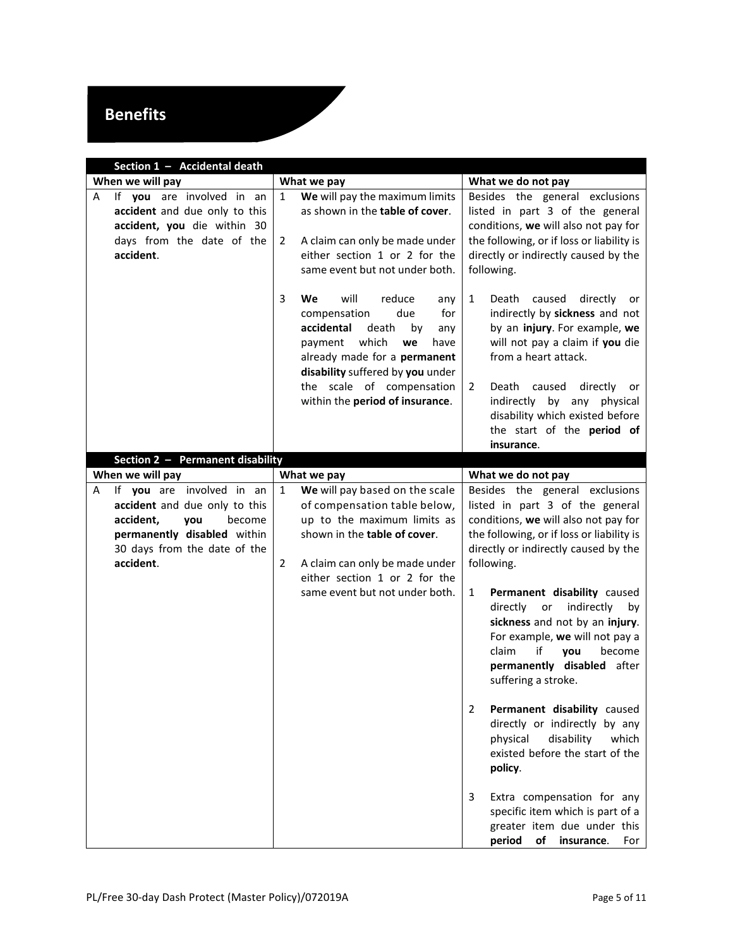# **Benefits**

<span id="page-4-1"></span><span id="page-4-0"></span>

| Section 1 - Accidental death                                                                                                             |                                                                                                                                                                                                                                                                          |                                                                                                                                                                                                                                                                                                                             |  |  |
|------------------------------------------------------------------------------------------------------------------------------------------|--------------------------------------------------------------------------------------------------------------------------------------------------------------------------------------------------------------------------------------------------------------------------|-----------------------------------------------------------------------------------------------------------------------------------------------------------------------------------------------------------------------------------------------------------------------------------------------------------------------------|--|--|
| When we will pay                                                                                                                         | What we pay                                                                                                                                                                                                                                                              | What we do not pay                                                                                                                                                                                                                                                                                                          |  |  |
| If you are involved in an<br>Α<br>accident and due only to this<br>accident, you die within 30<br>days from the date of the<br>accident. | We will pay the maximum limits<br>1<br>as shown in the table of cover.<br>A claim can only be made under<br>2<br>either section 1 or 2 for the<br>same event but not under both.                                                                                         | Besides the general exclusions<br>listed in part 3 of the general<br>conditions, we will also not pay for<br>the following, or if loss or liability is<br>directly or indirectly caused by the<br>following.                                                                                                                |  |  |
|                                                                                                                                          | 3<br>will<br>We<br>reduce<br>any<br>compensation<br>due<br>for<br>accidental<br>death<br>by<br>any<br>which<br>payment<br>we<br>have<br>already made for a permanent<br>disability suffered by you under<br>the scale of compensation<br>within the period of insurance. | 1<br>Death<br>caused<br>directly<br>or<br>indirectly by sickness and not<br>by an injury. For example, we<br>will not pay a claim if you die<br>from a heart attack.<br>Death<br>caused<br>directly<br>2<br>or<br>indirectly by any physical<br>disability which existed before<br>the start of the period of<br>insurance. |  |  |
| Section 2 - Permanent disability                                                                                                         |                                                                                                                                                                                                                                                                          |                                                                                                                                                                                                                                                                                                                             |  |  |
| When we will pay<br>If you are involved in an<br>Α                                                                                       | What we pay<br>We will pay based on the scale<br>$\mathbf{1}$                                                                                                                                                                                                            | What we do not pay<br>Besides the general exclusions                                                                                                                                                                                                                                                                        |  |  |
| accident and due only to this<br>accident,<br>you<br>become<br>permanently disabled within<br>30 days from the date of the<br>accident.  | of compensation table below,<br>up to the maximum limits as<br>shown in the table of cover.<br>A claim can only be made under<br>2<br>either section 1 or 2 for the                                                                                                      | listed in part 3 of the general<br>conditions, we will also not pay for<br>the following, or if loss or liability is<br>directly or indirectly caused by the<br>following.                                                                                                                                                  |  |  |
|                                                                                                                                          | same event but not under both.                                                                                                                                                                                                                                           | 1<br>Permanent disability caused<br>indirectly<br>directly<br>or<br>by<br>sickness and not by an injury.<br>For example, we will not pay a<br>if<br>become<br>claim<br>vou<br>permanently disabled after<br>suffering a stroke.                                                                                             |  |  |
|                                                                                                                                          |                                                                                                                                                                                                                                                                          | Permanent disability caused<br>2<br>directly or indirectly by any<br>physical<br>disability<br>which<br>existed before the start of the<br>policy.                                                                                                                                                                          |  |  |
|                                                                                                                                          |                                                                                                                                                                                                                                                                          | Extra compensation for any<br>3<br>specific item which is part of a<br>greater item due under this<br>period<br>of<br>insurance.<br>For                                                                                                                                                                                     |  |  |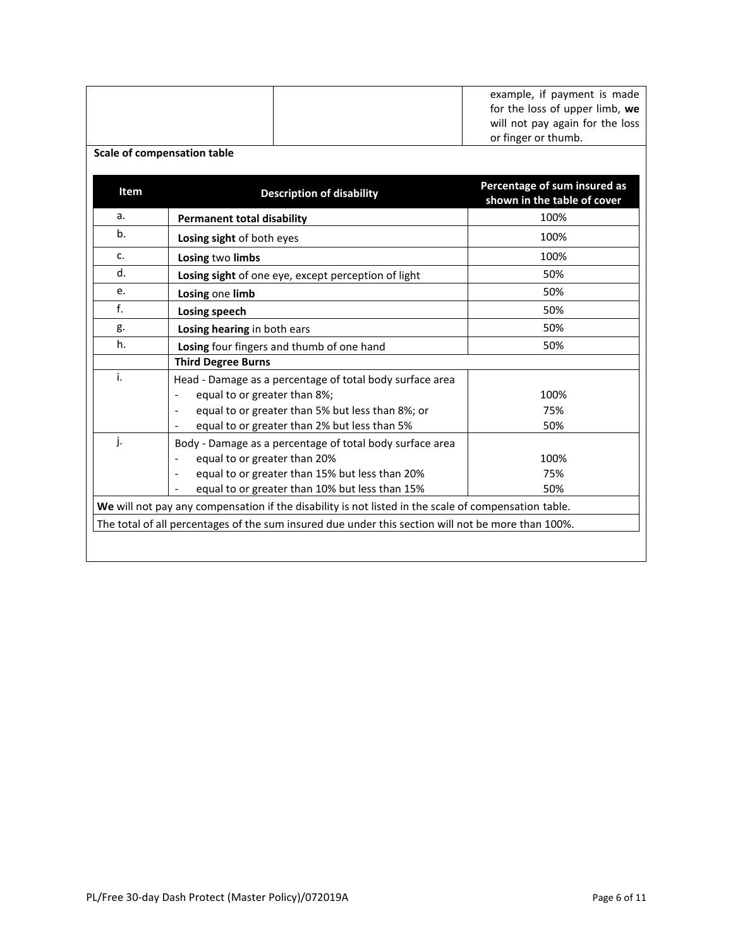|      |                                                                                                      | example, if payment is made                                 |
|------|------------------------------------------------------------------------------------------------------|-------------------------------------------------------------|
|      |                                                                                                      | for the loss of upper limb, we                              |
|      |                                                                                                      | will not pay again for the loss                             |
|      |                                                                                                      | or finger or thumb.                                         |
|      | <b>Scale of compensation table</b>                                                                   |                                                             |
| Item | <b>Description of disability</b>                                                                     | Percentage of sum insured as<br>shown in the table of cover |
| a.   | <b>Permanent total disability</b>                                                                    | 100%                                                        |
| b.   | Losing sight of both eyes                                                                            | 100%                                                        |
| c.   | Losing two limbs                                                                                     | 100%                                                        |
| d.   | Losing sight of one eye, except perception of light                                                  | 50%                                                         |
| e.   | Losing one limb                                                                                      | 50%                                                         |
| f.   | Losing speech                                                                                        | 50%                                                         |
| g.   | Losing hearing in both ears                                                                          | 50%                                                         |
| h.   | Losing four fingers and thumb of one hand                                                            | 50%                                                         |
|      | <b>Third Degree Burns</b>                                                                            |                                                             |
| i.   | Head - Damage as a percentage of total body surface area                                             |                                                             |
|      | equal to or greater than 8%;<br>$\qquad \qquad \blacksquare$                                         | 100%                                                        |
|      | equal to or greater than 5% but less than 8%; or                                                     | 75%                                                         |
|      | equal to or greater than 2% but less than 5%                                                         | 50%                                                         |
| j.   | Body - Damage as a percentage of total body surface area                                             |                                                             |
|      | equal to or greater than 20%<br>$\qquad \qquad \blacksquare$                                         | 100%                                                        |
|      | equal to or greater than 15% but less than 20%                                                       | 75%                                                         |
|      | equal to or greater than 10% but less than 15%                                                       | 50%                                                         |
|      | We will not pay any compensation if the disability is not listed in the scale of compensation table. |                                                             |
|      | The total of all percentages of the sum insured due under this section will not be more than 100%.   |                                                             |
|      |                                                                                                      |                                                             |
|      |                                                                                                      |                                                             |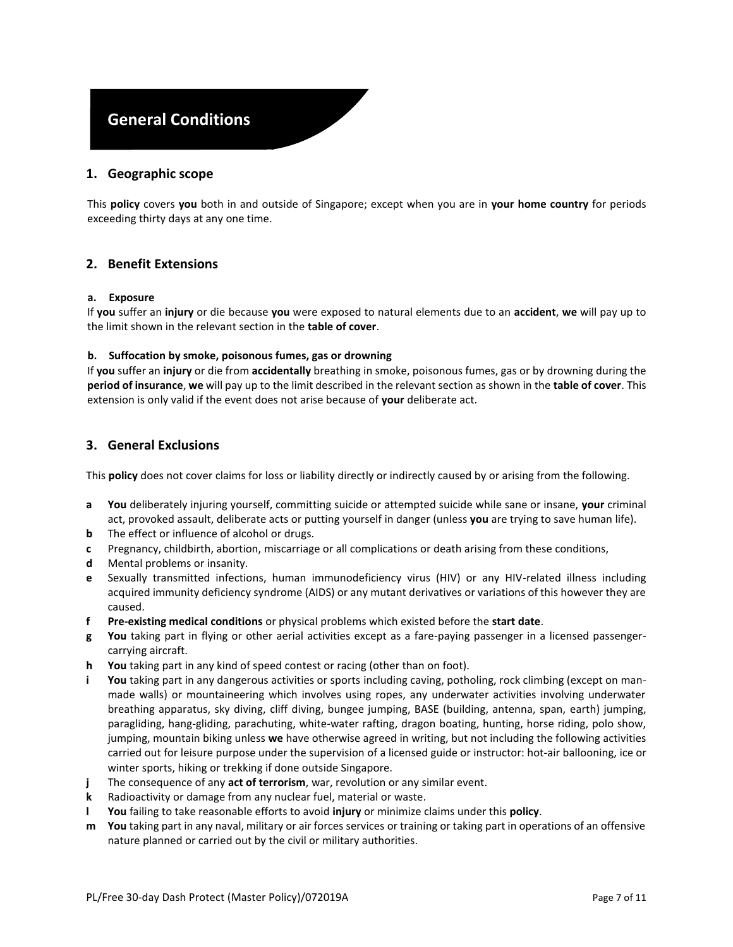### **General Conditions**

#### **1. Geographic scope**

This **policy** covers **you** both in and outside of Singapore; except when you are in **your home country** for periods exceeding thirty days at any one time.

#### **2. Benefit Extensions**

#### **a. Exposure**

If **you** suffer an **injury** or die because **you** were exposed to natural elements due to an **accident**, **we** will pay up to the limit shown in the relevant section in the **table of cover**.

#### **b. Suffocation by smoke, poisonous fumes, gas or drowning**

If **you** suffer an **injury** or die from **accidentally** breathing in smoke, poisonous fumes, gas or by drowning during the **period of insurance**, **we** will pay up to the limit described in the relevant section as shown in the **table of cover**. This extension is only valid if the event does not arise because of **your** deliberate act.

#### <span id="page-6-0"></span>**3. General Exclusions**

This **policy** does not cover claims for loss or liability directly or indirectly caused by or arising from the following.

- **a You** deliberately injuring yourself, committing suicide or attempted suicide while sane or insane, **your** criminal act, provoked assault, deliberate acts or putting yourself in danger (unless **you** are trying to save human life).
- **b** The effect or influence of alcohol or drugs.
- **c** Pregnancy, childbirth, abortion, miscarriage or all complications or death arising from these conditions,
- **d** Mental problems or insanity.
- **e** Sexually transmitted infections, human immunodeficiency virus (HIV) or any HIV-related illness including acquired immunity deficiency syndrome (AIDS) or any mutant derivatives or variations of this however they are caused.
- **f Pre-existing medical conditions** or physical problems which existed before the **start date**.
- **g You** taking part in flying or other aerial activities except as a fare-paying passenger in a licensed passengercarrying aircraft.
- **h You** taking part in any kind of speed contest or racing (other than on foot).
- **i You** taking part in any dangerous activities or sports including caving, potholing, rock climbing (except on manmade walls) or mountaineering which involves using ropes, any underwater activities involving underwater breathing apparatus, sky diving, cliff diving, bungee jumping, BASE (building, antenna, span, earth) jumping, paragliding, hang-gliding, parachuting, white-water rafting, dragon boating, hunting, horse riding, polo show, jumping, mountain biking unless **we** have otherwise agreed in writing, but not including the following activities carried out for leisure purpose under the supervision of a licensed guide or instructor: hot-air ballooning, ice or winter sports, hiking or trekking if done outside Singapore.
- **j** The consequence of any **act of terrorism**, war, revolution or any similar event.
- **k** Radioactivity or damage from any nuclear fuel, material or waste.
- **l You** failing to take reasonable efforts to avoid **injury** or minimize claims under this **policy**.
- **m You** taking part in any naval, military or air forces services or training or taking part in operations of an offensive nature planned or carried out by the civil or military authorities.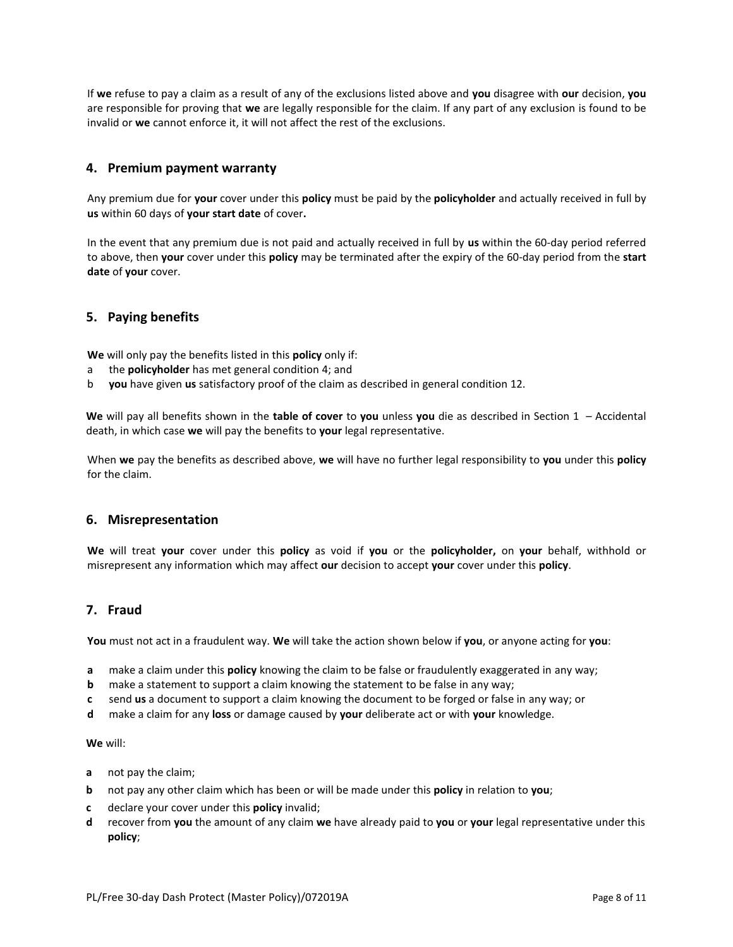If **we** refuse to pay a claim as a result of any of the exclusions listed above and **you** disagree with **our** decision, **you**  are responsible for proving that **we** are legally responsible for the claim. If any part of any exclusion is found to be invalid or **we** cannot enforce it, it will not affect the rest of the exclusions.

#### <span id="page-7-0"></span>**4. Premium payment warranty**

Any premium due for **your** cover under this **policy** must be paid by the **policyholder** and actually received in full by **us** within 60 days of **your start date** of cover**.** 

In the event that any premium due is not paid and actually received in full by **us** within the 60-day period referred to above, then **your** cover under this **policy** may be terminated after the expiry of the 60-day period from the **start date** of **your** cover.

#### **5. Paying benefits**

**We** will only pay the benefits listed in this **policy** only if:

- a the **policyholder** has met general condition [4;](#page-7-0) and
- b **you** have given **us** satisfactory proof of the claim as described in general conditio[n 12.](#page-8-0)

**We** will pay all benefits shown in the **table of cover** to **you** unless **you** die as described in [Section 1](#page-4-0) – [Accidental](#page-4-0)  [death,](#page-4-0) in which case **we** will pay the benefits to **your** legal representative.

When **we** pay the benefits as described above, **we** will have no further legal responsibility to **you** under this **policy** for the claim.

#### <span id="page-7-1"></span>**6. Misrepresentation**

**We** will treat **your** cover under this **policy** as void if **you** or the **policyholder,** on **your** behalf, withhold or misrepresent any information which may affect **our** decision to accept **your** cover under this **policy**.

#### <span id="page-7-2"></span>**7. Fraud**

**You** must not act in a fraudulent way. **We** will take the action shown below if **you**, or anyone acting for **you**:

- **a** make a claim under this **policy** knowing the claim to be false or fraudulently exaggerated in any way;
- **b** make a statement to support a claim knowing the statement to be false in any way;
- **c** send **us** a document to support a claim knowing the document to be forged or false in any way; or
- **d** make a claim for any **loss** or damage caused by **your** deliberate act or with **your** knowledge.

#### **We** will:

- **a** not pay the claim;
- **b** not pay any other claim which has been or will be made under this **policy** in relation to **you**;
- **c** declare your cover under this **policy** invalid;
- **d** recover from **you** the amount of any claim **we** have already paid to **you** or **your** legal representative under this **policy**;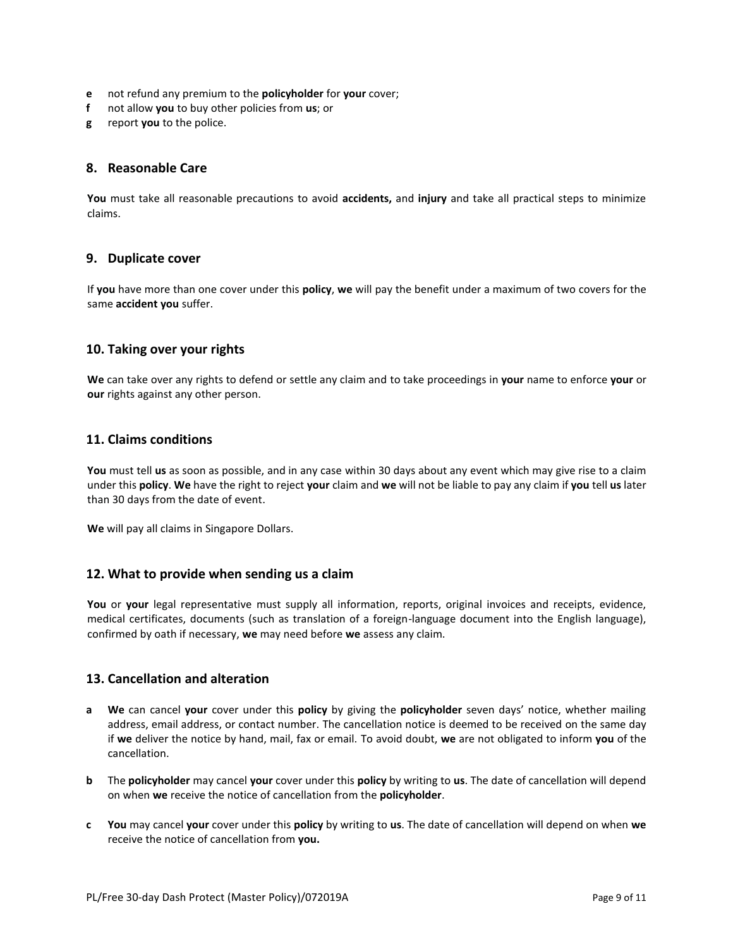- **e** not refund any premium to the **policyholder** for **your** cover;
- **f** not allow **you** to buy other policies from **us**; or
- **g** report **you** to the police.

#### **8. Reasonable Care**

**You** must take all reasonable precautions to avoid **accidents,** and **injury** and take all practical steps to minimize claims.

#### **9. Duplicate cover**

If **you** have more than one cover under this **policy**, **we** will pay the benefit under a maximum of two covers for the same **accident you** suffer.

#### **10. Taking over your rights**

**We** can take over any rights to defend or settle any claim and to take proceedings in **your** name to enforce **your** or **our** rights against any other person.

#### **11. Claims conditions**

**You** must tell **us** as soon as possible, and in any case within 30 days about any event which may give rise to a claim under this **policy**. **We** have the right to reject **your** claim and **we** will not be liable to pay any claim if **you** tell **us** later than 30 days from the date of event.

**We** will pay all claims in Singapore Dollars.

#### <span id="page-8-0"></span>**12. What to provide when sending us a claim**

**You** or **your** legal representative must supply all information, reports, original invoices and receipts, evidence, medical certificates, documents (such as translation of a foreign-language document into the English language), confirmed by oath if necessary, **we** may need before **we** assess any claim.

#### <span id="page-8-1"></span>**13. Cancellation and alteration**

- **a We** can cancel **your** cover under this **policy** by giving the **policyholder** seven days' notice, whether mailing address, email address, or contact number. The cancellation notice is deemed to be received on the same day if **we** deliver the notice by hand, mail, fax or email. To avoid doubt, **we** are not obligated to inform **you** of the cancellation.
- **b** The **policyholder** may cancel **your** cover under this **policy** by writing to **us**. The date of cancellation will depend on when **we** receive the notice of cancellation from the **policyholder**.
- **c You** may cancel **your** cover under this **policy** by writing to **us**. The date of cancellation will depend on when **we**  receive the notice of cancellation from **you.**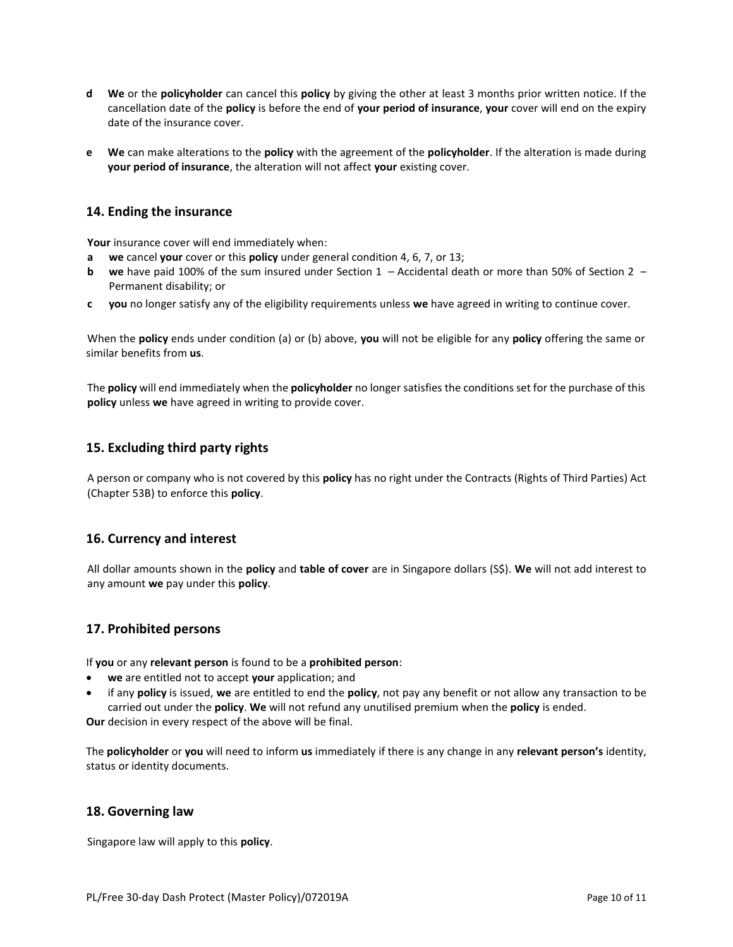- **d We** or the **policyholder** can cancel this **policy** by giving the other at least 3 months prior written notice. If the cancellation date of the **policy** is before the end of **your period of insurance**, **your** cover will end on the expiry date of the insurance cover.
- **e We** can make alterations to the **policy** with the agreement of the **policyholder**. If the alteration is made during **your period of insurance**, the alteration will not affect **your** existing cover.

#### **14. Ending the insurance**

**Your** insurance cover will end immediately when:

- **a we** cancel **your** cover or this **policy** under general conditio[n 4,](#page-7-0) [6,](#page-7-1) [7,](#page-7-2) o[r 13;](#page-8-1)
- **b we** have paid 100% of the sum insured under [Section 1](#page-4-0)  [Accidental death](#page-4-0) or more than 50% of [Section 2](#page-4-1)  [Permanent disability;](#page-4-1) or
- **c you** no longer satisfy any of the eligibility requirements unless **we** have agreed in writing to continue cover.

When the **policy** ends under condition (a) or (b) above, **you** will not be eligible for any **policy** offering the same or similar benefits from **us**.

The **policy** will end immediately when the **policyholder** no longer satisfies the conditions set for the purchase of this **policy** unless **we** have agreed in writing to provide cover.

#### **15. Excluding third party rights**

A person or company who is not covered by this **policy** has no right under the Contracts (Rights of Third Parties) Act (Chapter 53B) to enforce this **policy**.

#### **16. Currency and interest**

All dollar amounts shown in the **policy** and **table of cover** are in Singapore dollars (S\$). **We** will not add interest to any amount **we** pay under this **policy**.

#### **17. Prohibited persons**

If **you** or any **relevant person** is found to be a **prohibited person**:

- **we** are entitled not to accept **your** application; and
- if any **policy** is issued, **we** are entitled to end the **policy**, not pay any benefit or not allow any transaction to be carried out under the **policy**. **We** will not refund any unutilised premium when the **policy** is ended.

**Our** decision in every respect of the above will be final.

The **policyholder** or **you** will need to inform **us** immediately if there is any change in any **relevant person's** identity, status or identity documents.

#### **18. Governing law**

Singapore law will apply to this **policy**.